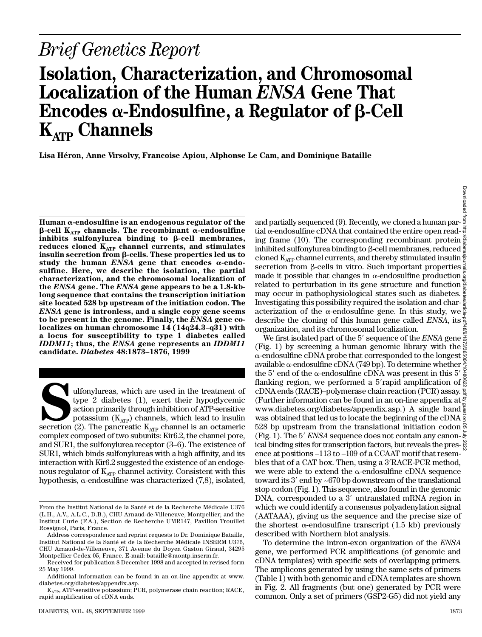# *Brief Genetics Report*

## **Isolation, Characterization, and Chromosomal** Localization of the Human *ENSA* Gene That Encodes  $\alpha$ -Endosulfine, a Regulator of  $\beta$ -Cell **K**<sub>ATP</sub> Channels

Lisa Héron, Anne Virsolvy, Francoise Apiou, Alphonse Le Cam, and Dominique Bataille

 $Human \alpha$ -endosulfine is an endogenous regulator of the  $\beta$ -cell K<sub>ATP</sub> channels. The recombinant  $\alpha$ -endosulfine inhibits sulfonylurea binding to  $\beta$ -cell membranes, reduces cloned K<sub>ATP</sub> channel currents, and stimulates **insulin secretion from** b**-cells. These properties led us to** study the human  $ENSA$  gene that encodes  $\alpha$ -endo**sulfine. Here, we describe the isolation, the partial characterization, and the chromosomal localization of** the *ENSA* gene. The *ENSA* gene appears to be a 1.8-kb**long sequence that contains the transcription initiation site located 528 bp upstream of the initiation codon. The** *ENSA* gene is intronless, and a single copy gene seems to be present in the genome. Finally, the *ENSA* gene co**localizes on human chromosome 14 (14q24.3–q31) with a locus for susceptibility to type 1 diabetes called** *IDDM11*; thus, the *ENSA* gene represents an *IDDM11* **candidate.** *Diabetes* **48:1873–1876, 1999**

Ulfonylureas, which are used in the treatment of type 2 diabetes (1), exert their hypoglycemic action primarily through inhibition of ATP-sensitive potassium (K<sub>ATP</sub>) channels, which lead to insulin secretion (2). The panc ulfonylureas, which are used in the treatment of type 2 diabetes (1), exert their hypoglycemic action primarily through inhibition of ATP-sensitive potassium  $(K_{ATP})$  channels, which lead to insulin complex composed of two subunits: Kir6.2, the channel pore, and SUR1, the sulfonylurea receptor (3–6). The existence of SUR1, which binds sulfonylureas with a high affinity, and its interaction with Kir6.2 suggested the existence of an endogenous regulator of  $K_{ATP}$  channel activity. Consistent with this hypothesis,  $\alpha$ -endosulfine was characterized (7,8), isolated,

and partially sequenced (9). Recently, we cloned a human par- $\frac{3}{2}$ tial  $\alpha$ -endosulfine cDNA that contained the entire open read- $\frac{3}{5}$ ing frame (10). The corresponding recombinant protein  $\frac{5}{6}$ inhibited sulfonylurea binding to  $\beta$ -cell membranes, reduced  $\frac{5}{6}$ cloned  $K_{ATP}$  channel currents, and thereby stimulated insulin  $s$ ecretion from  $\beta$ -cells in vitro. Such important properties made it possible that changes in  $\alpha$ -endosulfine production related to perturbation in its gene structure and function may occur in pathophysiological states such as diabetes. Investigating this possibility required the isolation and char- $\frac{8}{9}$ acterization of the  $\alpha$ -end osulfine gene. In this study, we  $\frac{5}{8}$ describe the cloning of this human gene called *ENSA*, its  $\frac{8}{3}$ organization, and its chromosomal localization. Downloaded from http://diabetesjournals.org/diabetes/article-pdf/48/9/1873/365004/10480622.pdf by guest on 05 July 2022

We first isolated part of the 5' sequence of the *ENSA* gene  $\frac{5}{8}$ (Fig. 1) by screening a human genomic library with the  $\frac{3}{5}$  $\alpha$ -endosulfine cDNA probe that corresponded to the longest  $\ddot{\text{g}}$ available  $\alpha$ -endosulfine cDNA (749 bp). To determine whether  $\frac{S}{2}$ the 5' end of the  $\alpha$ -endosulfine cDNA was present in this 5'  $\frac{\overline{8}}{8}$ flanking region, we performed a 5'rapid amplification of  $\frac{8}{5}$ cDNA ends (RACE)–polymerase chain reaction (PCR) assay. (Further information can be found in an on-line appendix at  $\frac{8}{3}$ www.diabetes.org/diabetes/appendix.asp.) A single band was obtained that led us to locate the beginning of the cDNA 528 bp upstream from the translational initiation codon  $\frac{5}{2}$ (Fig. 1). The 5' *ENSA* sequence does not contain any canon- $\bar{\xi}$ ical binding sites for transcription factors, but reveals the presence at positions –113 to –109 of a CCAAT motif that resembles that of a CAT box. Then, using a  $3'RACE-PCR$  method, we were able to extend the  $\alpha$ -endosulfine cDNA sequence toward its 3' end by  $\sim 670$  bp downstream of the translational stop codon (Fig. 1). This sequence, also found in the genomic DNA, corresponded to a  $3'$  untranslated mRNA region in which we could identify a consensus polyadenylation signal (AATAAA), giving us the sequence and the precise size of the shortest  $\alpha$ -endosulfine transcript (1.5 kb) previously described with Northern blot analysis.

To determine the intron-exon organization of the *ENSA* gene, we performed PCR amplifications (of genomic and cDNA templates) with specific sets of overlapping primers. The amplicons generated by using the same sets of primers ( Table 1) with both genomic and cDNA templates are shown in Fig. 2. All fragments (but one) generated by PCR were common. Only a set of primers (GSP2-G5) did not yield any

**Downloaded** 

From the Institut National de la Santé et de la Recherche Médicale U376 (L.H., A.V., A.L.C., D.B.), CHU Arnaud-de-Villeneuve, Montpellier; and the Institut Curie (F.A.), Section de Recherche UMR147, Pavillon Trouillet Rossignol, Paris, France.

Address correspondence and reprint requests to Dr. Dominique Bataille, Institut National de la Santé et de la Recherche Médicale INSERM U376, CHU Arnaud-de-Villeneuve, 371 Avenue du Doyen Gaston Giraud, 34295 Montpellier Cedex 05, France. E-mail: bataille@montp.inserm.fr.

Received for publication 8 December 1998 and accepted in revised form 25 May 1999.

Additional information can be found in an on-line appendix at www. diabetes.org/diabetes/appendix.asp.

 $K_{ATP}$ , ATP-sensitive potassium; PCR, polymerase chain reaction; RACE, rapid amplification of cDNA ends.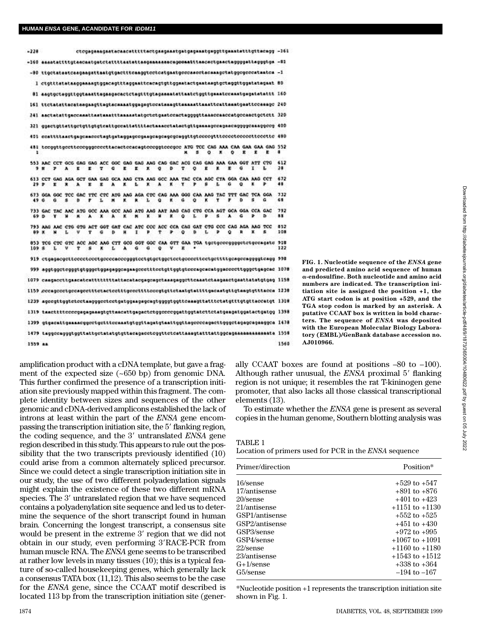| $-228$  |                                                                                           |    |    |   |   |   |    |   |   |   |             |   |   |    |   |                                                                                          |    |    |   | ctccagaaagaatacaacatttttactgaagaaatgatgagaaatgaggttgaaatatttgttacagg -161                   |                  |
|---------|-------------------------------------------------------------------------------------------|----|----|---|---|---|----|---|---|---|-------------|---|---|----|---|------------------------------------------------------------------------------------------|----|----|---|---------------------------------------------------------------------------------------------|------------------|
|         |                                                                                           |    |    |   |   |   |    |   |   |   |             |   |   |    |   |                                                                                          |    |    |   | -160 assotattttgtaecaatgatotattttaatattaaganassacagoomatttaacactgaactaggggattagggtga -B1    |                  |
|         |                                                                                           |    |    |   |   |   |    |   |   |   |             |   |   |    |   |                                                                                          |    |    |   | -80 ttgctataatcaagaagattaatgtgactttcaaggtoctcatgaatgoccaacctacaaagctatggcgcccataatca -1     |                  |
|         |                                                                                           |    |    |   |   |   |    |   |   |   |             |   |   |    |   |                                                                                          |    |    |   | ] ctgtttatataaggamaagtggacagtttaggamitcacagtgttggmatactgmataagtgdtaggttggmtatagmat 80       |                  |
|         |                                                                                           |    |    |   |   |   |    |   |   |   |             |   |   |    |   |                                                                                          |    |    |   | 81 aagtgctaggttggtaasttagasgacactctagtttgtagasaatattaatctggttgaastccaastgagstatsttt 160     |                  |
|         |                                                                                           |    |    |   |   |   |    |   |   |   |             |   |   |    |   |                                                                                          |    |    |   | [6] ttotatattacataagaagttagtacaaaatggagagtocataaagttaamaattaaattcattaaatgaattccaaagc 240    |                  |
|         | 241 aastatattgassaanttaatamaatttamaantatgetetgaateenstapppgttaaneemassestgeteette 320     |    |    |   |   |   |    |   |   |   |             |   |   |    |   |                                                                                          |    |    |   |                                                                                             |                  |
|         | 321 ggactgttattgctgttgttgtcattgccattattttactmmacctatactgttgmmaagccagaacaggggcaaaggccg 400 |    |    |   |   |   |    |   |   |   |             |   |   |    |   |                                                                                          |    |    |   |                                                                                             |                  |
|         |                                                                                           |    |    |   |   |   |    |   |   |   |             |   |   |    |   |                                                                                          |    |    |   | 401 ccattttaactgagcaaccctagtgataggagccgaagcagcagcgaggttgtccccgtttcccctcccccttcccttc 480     |                  |
|         |                                                                                           |    |    |   |   |   |    |   |   |   |             |   |   | s. | ۰ |                                                                                          | ۰  | ×. | r | 481 terggttgertteregggererttararteraragtereggtreeger ATG TCC CAG AAA CAA GAA GAG 552        | я                |
|         |                                                                                           | ,  | А  | к | r | v | c  | r | r | к | ۰           | D |   | ۰  | ĸ | ĸ                                                                                        | x. | ٥  | ı |                                                                                             | 612<br>38        |
| 29.9    |                                                                                           | ×  |    | А |   |   |    |   |   |   |             | ĸ | ٠ |    | Ř | 613 CCT GAG AGA GCT GAA GAG GCA AAG CTA AAG GCC AAA TAC CCA AGC CTA GGA CAA AAG CCT      |    | ā  |   |                                                                                             | 672<br>48        |
| 49.0    |                                                                                           | ۵  |    | Ð |   |   |    | ĸ |   | ı | ٥           | ٠ | ű | ۰  | ĸ | 673 GGA GGC TCC GAC TTC CTC ATG ANG AGA CTC CAG AAA GGG CAA AAG TAC TTT GAC TCA GGA<br>٧ |    | ٠  |   |                                                                                             | 732<br>68        |
| 69 D    |                                                                                           |    |    | ĸ | ۰ | ĸ |    | × |   | ĸ | и           | × | ۰ | L  | Р | 733 GAC TAC ANC ATG GCC AAA GCC AAG ATG AAG AAT AAG CAG CTG CCA AGT GCA GGA CCA GAC<br>s | ٠  | G  |   | ъ                                                                                           | 792<br>$\bullet$ |
| 89 X    |                                                                                           | ×  | t. | u | Ŧ | ۵ | a  | и | н |   | ٠           | ٠ | ۰ | Ð  | Ł | 793 ANG ANC CTG GTG ACT GGT GNT CAC ATC CCC ACC CCA CAG GNT CTG CCC CAG AGA ANG TCC<br>ъ | ۰  | R  | x | s                                                                                           | 852<br>108       |
| 109.8   |                                                                                           | ı. |    | ÷ | 戈 | ĸ | t. | ۰ | ۵ | a | $\mathbf o$ | v | ж |    |   |                                                                                          |    |    |   | 853 TCG CTC GTC ACC AGC AAG CTT GCG GGT GGC CAA GTT GAA TGA tostgeecogggetstgesagats 918    | 122              |
|         |                                                                                           |    |    |   |   |   |    |   |   |   |             |   |   |    |   |                                                                                          |    |    |   |                                                                                             |                  |
|         |                                                                                           |    |    |   |   |   |    |   |   |   |             |   |   |    |   |                                                                                          |    |    |   | 999 aggtggotogggtgtgggotggagaggcagaagcootttootgttggtgtoccagcacatggadooctttgggotgagcac 1078  |                  |
|         |                                                                                           |    |    |   |   |   |    |   |   |   |             |   |   |    |   |                                                                                          |    |    |   | 1079 caaqaccttgaacatcatttttttttattacatacgagcagctaaagaggcttcaaatctaagasctgaattatstgtgag 1158 |                  |
|         |                                                                                           |    |    |   |   |   |    |   |   |   |             |   |   |    |   |                                                                                          |    |    |   | 1159 seemagesetgeesgestitetseteettigesettitesegigitetssigtatiitgaessigtigtamgigitiseen 1238 |                  |
|         |                                                                                           |    |    |   |   |   |    |   |   |   |             |   |   |    |   |                                                                                          |    |    |   |                                                                                             |                  |
|         |                                                                                           |    |    |   |   |   |    |   |   |   |             |   |   |    |   |                                                                                          |    |    |   | 1319 taadtittoodogagaaaagtgttaacattgagactctggoodoggattggtatcttctatgaagatggatactgatgg 1398   |                  |
|         |                                                                                           |    |    |   |   |   |    |   |   |   |             |   |   |    |   |                                                                                          |    |    |   | 1399 gigacattgammadggcctgctttccnaatgtggttagatgtmattggttagccccagacttgggctagagcagaaggca 1478  |                  |
|         |                                                                                           |    |    |   |   |   |    |   |   |   |             |   |   |    |   |                                                                                          |    |    |   | 1479 taggócsgögtgyttattgótstatgtgttacsgaoctcggttctcattasagtatttattggcagssaanssaansta 1558   |                  |
| 1559 aa |                                                                                           |    |    |   |   |   |    |   |   |   |             |   |   |    |   |                                                                                          |    |    |   |                                                                                             | 1560             |
|         |                                                                                           |    |    |   |   |   |    |   |   |   |             |   |   |    |   |                                                                                          |    |    |   |                                                                                             |                  |

amplification product with a cDNA template, but gave a fragment of the expected size (~650 bp) from genomic DNA. This further confirmed the presence of a transcription initiation site previously mapped within this fragment. The complete identity between sizes and sequences of the other genomic and cDNA-derived amplicons established the lack of introns at least within the part of the *ENSA* gene encompassing the transcription initiation site, the 5' flanking region, the coding sequence, and the 3' untranslated *ENSA* gene region described in this study. This appears to rule out the possibility that the two transcripts previously identified (10) could arise from a common alternately spliced precursor. Since we could detect a single transcription initiation site in our study, the use of two different polyadenylation signals might explain the existence of these two different mRNA species. The 3' untranslated region that we have sequenced contains a polyadenylation site sequence and led us to determine the sequence of the short transcript found in human brain. Concerning the longest transcript, a consensus site would be present in the extreme 3' region that we did not obtain in our study, even performing 3'RACE-PCR from human muscle RNA. The *ENSA* gene seems to be transcribed at rather low levels in many tissues (10); this is a typical feature of so-called housekeeping genes, which generally lack a consensus TATA box (11,12). This also seems to be the case for the *ENSA* gene, since the CCAAT motif described is located 113 bp from the transcription initiation site (gener-

FIG. 1. Nucleotide sequence of the *ENSA* gene **and predicted amino acid sequence of human**  a**-endosulfine. Both nucleotide and amino acid numbers are indicated. The transcription initiation site is assigned the position +1, the ATG start codon is at position +529, and the TGA stop codon is marked by an asterisk. A putative CCAAT box is written in bold charac**ters. The sequence of *ENSA* was deposited **with the European Molecular Biology Laboratory (EMBL)/GenBank database accession no. A J 0 1 0 9 6 6.**

ally CCAAT boxes are found at positions –80 to –100). Although rather unusual, the *ENSA* proximal 5' flanking region is not unique; it resembles the rat T-kininogen gene promoter, that also lacks all those classical transcriptional elements (13).

To estimate whether the *ENSA* gene is present as several copies in the human genome, Southern blotting analysis was

Location of primers used for PCR in the *ENSA* sequence

| Primer/direction | Position*          |  |  |  |  |  |
|------------------|--------------------|--|--|--|--|--|
| 16/sense         | $+529$ to $+547$   |  |  |  |  |  |
| 17/antisense     | $+891$ to $+876$   |  |  |  |  |  |
| 20/sense         | $+401$ to $+423$   |  |  |  |  |  |
| 21/antisense     | $+1151$ to $+1130$ |  |  |  |  |  |
| GSP1/antisense   | $+552$ to $+525$   |  |  |  |  |  |
| GSP2/antisense   | $+451$ to $+430$   |  |  |  |  |  |
| GSP3/sense       | $+972$ to $+995$   |  |  |  |  |  |
| GSP4/sense       | $+1067$ to $+1091$ |  |  |  |  |  |
| $22$ /sense      | $+1160$ to $+1180$ |  |  |  |  |  |
| 23/antisense     | $+1543$ to $+1512$ |  |  |  |  |  |
| $G+1$ /sense     | $+338$ to $+364$   |  |  |  |  |  |
| G5/sense         | $-194$ to $-167$   |  |  |  |  |  |

\*Nucleotide position +1 represents the transcription initiation site shown in Fig. 1.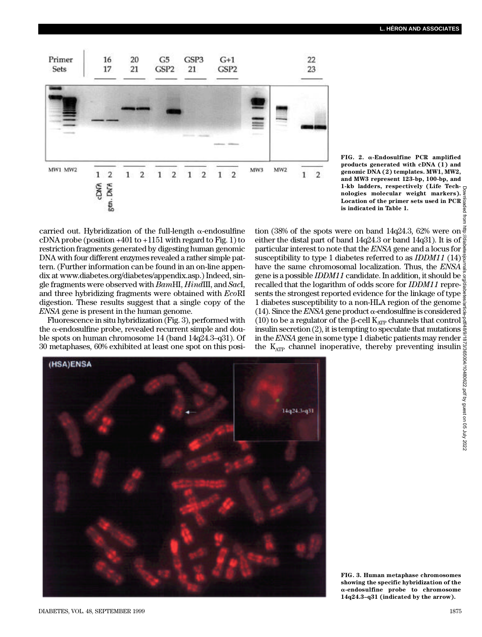

**FIG. 2.** a**-Endosulfine PCR amplified products generated with cDNA (1) and genomic DNA (2) templates. MW1, MW2, and MW3 represent 123-bp, 100-bp, and**  1-kb ladders, respectively (Life Tech**nologies molecular weight markers). Location of the primer sets used in PCR is indicated in Table 1.**

carried out. Hybridization of the full-length  $\alpha$ -end osul fine cDNA probe (position  $+401$  to  $+1151$  with regard to Fig. 1) to restriction fragments generated by digesting human genomic DNA with four different enzymes revealed a rather simple pattern. (Further information can be found in an on-line appendix at www.diabetes.org/diabetes/appendix.asp.) Indeed, single fragments were observed with  $BamHI$ ,  $HindIII$ , and *SacI*, and three hybridizing fragments were obtained with *EcoRI* digestion. These results suggest that a single copy of the *ENSA* gene is present in the human genome.

Fluorescence in situ hybridization (Fig. 3), performed with the  $\alpha$ -endosulfine probe, revealed recurrent simple and double spots on human chromosome 14 (band 14q24.3–q31). Of 30 metaphases, 60% exhibited at least one spot on this posi-

tion (38% of the spots were on band 14q24.3, 62% were on either the distal part of band 14q24.3 or band 14q31). It is of particular interest to note that the *ENSA* gene and a locus for  $\frac{8}{5}$ susceptibility to type 1 diabetes referred to as *IDDM11* (14) $\frac{8}{2}$ have the same chromosomal localization. Thus, the  $E\overline{NSA}$   $\frac{3}{2}$ gene is a possible *IDDM11* candidate. In addition, it should be recalled that the logarithm of odds score for *IDDM11* represents the strongest reported evidence for the linkage of type  $\frac{5}{8}$ 1 diabetes susceptibility to a non-HLA region of the genome  $\frac{\infty}{2}$ (14). Since the *ENSA* gene product  $\alpha$ -endosulfine is considered  $\frac{3}{8}$ (10) to be a regulator of the β-cell K<sub>ATP</sub> channels that control  $\frac{8}{9}$ insulin secretion (2), it is tempting to speculate that mutations  $\frac{5}{8}$ in the *ENSA* gene in some type 1 diabetic patients may render the K<sub>ATP</sub> channel inoperative, thereby preventing insulin Downloaded from http://diabetesjournals.org/diabetes/article-pdf/48/9/1873/365004/10480622.pdf by guest on 05 July 2022